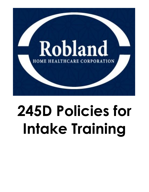

# **245D Policies for Intake Training**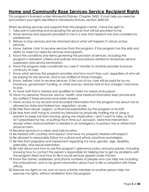# **Home and Community Base Services-Service Recipient Rights**

This program is licensed under Minnesota Statues, Chapter 245D. It must help you exercise and protect your rights identified in Minnesota Statues, section 245D.04

When receiving services and supports from this program name, I have the right to:

- 1. Take part in planning and evaluating the services that will be provided tome.
- 2. Have services and supports provided to me in a way that respects me and considersmy preferences.
- 3. Refuse or stop services and be informed about what will happen if I refuse orstop services.
- 4. Know, before I start to receive services from this program, if the program has the skills and ability to meet my need for services and supports.
- 5. Know the conditions and terms governing the provision of services, including the program's admission criteria and policies and procedures related to temporary service suspension and service termination.
- 6. Have the program help coordinate my care if I transfer to another provider toensure continuity of care.
- 7. Know what services this program provides and how much they cost, regardless of who will be paying for the services, and to be notified of those changes.
- 8. Know, before I start to receive services, if the cost of my care will be paid for by my insurance, government funding, or other sources, and be told of any charges I mayhave to pay.
- 9. To have staff that is trained and qualified to meet my needs and support.
- 10. Have my personal, financial, service, health, and medical information kept private and be notified if these records have been shared.
- 11.Have access to my records and recorded information that the program has about me as allowed by state and federal law, regulation, or rule.
- 12. Be free from abuse, neglect, or financial exploitation by the program or its staff.
- 13. Be free from staff trying to control my behavior by physically holding me or using a restraint to keep me from moving, giving me medication, I don't want to take, or that isn't prescribed for me, or putting me in time-out, seclusion, restrictive intervention; except when manual restraint is needed in an emergency to protect me or others from physical harm.
- 14. Receive services in a clean and safe location.
- 15. Be treated with courtesy and respect and have my property treated withrespect.
- 16. Be allowed to reasonably follow my cultural and ethnic practices and religion.
- 17. Be free from prejudice and harassment regarding my race, gender, age, disability, spirituality, and sexual orientation.
- 18. Be told about and how to use the program's grievance policy and procedures, including knowing how to contact the person's responsible for helping me to get my problems with the program fixed and how to file a social services appeal under the law.
- 19. Know the names, addresses, and phone numbers of people who can help me, including the ombudsman, and to be given information about how to file a complaint with these offices.
- 20. Exercise my rights on my own or have a family member or another person help me exercise my rights, without retaliation from the program.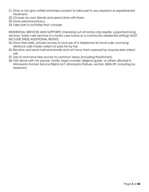- 21. Give or not give written informed consent to take part in any research or experimental treatment.
- 22. Choose my own friends and spend time with them.
- 23.Have personal privacy.
- 24. Take part in activities that I choose.

RESIDENTIAL SERVICES AND SUPPORTS (meaning out-of-home crisis respite, supported living services, foster care services in a foster care home or a community residential setting) MUST INCLUDE THESE ADDITIONAL RIGHTS:

- 25.Have free daily, private access to and use of a telephone for local calls, and longdistance calls made collect or paid for by me.
- 26. Receive and send mail and emails and not have them opened by anyone else unless I ask.
- 27.Use of and have free access to common areas (including the kitchen).
- 28. Visit alone with my spouse, family, legal counsel, religious guide, or others allowed in Minnesota Human Service Rights Act, Minnesota Statues, section 363A.09, includingmy bedroom.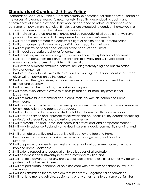# **Standards of Conduct & Ethics Policy**

Standards of Conduct & Ethics outlines the primary expectations for staff behavior, based on the values of tolerance, respectfulness, honesty, integrity, dependability, quality and effectiveness of service provided, teamwork, acceptance of individual differences and consumer empowerment & choice. Employees are expected to conduct themselves in a manner that demonstrates the following standards:

- 1. I will maintain a professional relationship and be respectful of all people that we serve providing the best service that is responsive to the consumer's needs.
- 2. I will respect and promote the consumer's right of choice and self-determination.
- 3. I will assist consumers in identifying, clarifying and reaching their goals.
- 4. I will not put my personal needs ahead of the needs of consumers.
- 5. I will model appropriate behavior for consumers.
- 6. I will report any mistreatment, neglect, abuse, or financial exploitation ofconsumers.
- 7. I will respect consumers past and present rights to privacy and will avoid illegal and unwarranted disclosures of confidential information.
- 8. I will strive to eliminate attitudinal barriers, including stereotyping and discrimination towards consumers.
- 9. I will strive to collaborate with other staff and outside agencies about consumers when given written permission by the consumer.
- 10. I will respect the rights, views, and confidences of my co-workers and treat themwith fairness and courtesy.
- 11. I will not exploit the trust of my co-workers or the public.
- 12. I will make every effort to avoid relationships that could impair my professional judgement.
- 13. I will not make false statements about consumers, co-workers, or Robland Home Healthcare.
- 14. I will maintain accurate records necessary for rendering services to consumers as required by law, regulations and agency procedures.
- 15. I will not falsify any documents related to Robland Home Healthcare operations.
- 16. I will provide service and represent myself within the boundaries of my education, training, professional credentials, and professional experience.
- 17. I will represent Robland Home Healthcare in a professional and competent manner.
- 18. I will work to advance Robland Home Healthcare in its goals, community standing, and success.
- 19. I will promote a positive and supportive attitude toward Robland Home Healthcare consumers, co- workers, supervisors, management, and Board of Directors.
- 20. I will use proper channels for expressing concerns about consumers, co-workers, and Robland Home Healthcare.
- 21. I will extend respect and cooperation to colleagues of allprofessions.
- 22. I will be honest and trustworthy in all my professional relationships.
- 23. I will not take advantage of any professional relationship to exploit or further my personal, professional, or business interests.
- 24. I will not participate, condone, or be associated with any form of dishonesty, fraud,or deception.
- 25. I will seek assistance for any problem that impairs my judgement orperformance.
- 26. I will not lend money, vehicles, equipment, or any other items to consumers or families.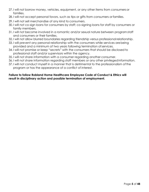- 27. I will not borrow money, vehicles, equipment, or any other items from consumersor families.
- 28. I will not accept personal favors, such as tips or gifts from consumers or families.
- 29. I will not sell merchandise of any kind to consumers.
- 30. I will not co-sign loans for consumers by staff; co-signing loans for staff by consumers or family members.
- 31. I will not become involved in a romantic and/or sexual nature between programstaff and consumers or their families.
- 32. I will not allow blurred boundaries regarding friendship versus professional relationship.
- 33. I will prevent any personal relationship with the consumers while services arebeing provided and a minimum of two years following termination ofservices.
- 34. I will not promise or keep "secrets" with the consumers that should be disclosed to professional staff and/or supervisors within the agency.
- 35. I will not share information with a consumer regarding another consumer.
- 36. I will not share information regarding staff members or any other privilegedinformation.
- 37. I will not conduct myself in a manner that is detrimental to the professionalism ofthe program or has the appearance of a conflict of interest.

#### **Failure to follow Robland Home Healthcare Employee Code of Conduct & Ethics will result in disciplinary action and possible termination of employment.**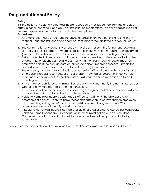# **Drug and Alcohol Policy**

#### **I. Policy**

It is the policy of Robland Home Healthcare to support a workplace free from the effects of drugs, alcohol, chemicals, and abuse of prescription medications. This policy applies to all of our employees, subcontractors, and volunteers (employees).

#### **II. Procedures**

- A. All employees must be free from the abuse of prescription medications or being in any manner under the influence of a chemical that impairs their ability to provide services or care.
- B. The consumption of alcohol is prohibited while directly responsible for persons receiving services, or on our property (owned or leased), or in our vehicles, machinery, or equipment (owned or leased), and will result in corrective action up to and including termination.
- C. Being under the influence of a controlled substance identified under Minnesota Statutes, chapter 152, or alcohol, or illegal drugs in any manner that impairs or could impair an employee's ability to provide care or services to persons receiving services is prohibited and will result in corrective action up to and including termination.
- D. The use, sale, manufacture, distribution, or possession of illegal drugs while providingcare or to persons receiving services, or on our property (owned or leased), or in our vehicles, machinery, or equipment (owned or leased), will result in corrective action up to and including termination.
- E. Any employee convicted of criminal drug use or activity must notify the Human Resources Coordinator immediately following the conviction.
- F. Criminal conviction for the sale of narcotics, illegal drugs or controlled substances will result in corrective action up to and including termination.
- G. Robland Home Healthcare's designated staff person will notify the appropriate law enforcement agency when we have reasonable suspicion to believe that an employee may have illegal drugsin his/her possession while on duty during work hours. Where appropriate, we will also notify licensing boards.
- H. If Robland Home Healthcare is notified of a claim of drug or alcohol use during work hours, Robland Home Healthcare will conduct an internal investigation within 5 work days. Consequences of an investigationwill include corrective action up to and including termination.

Policy reviewed and authorized by Robland Home Healthcare owners and las updated 1-2019.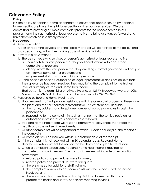# **Grievance Policy**

## **I. Policy**

It is the policy of Robland Home Healthcare to ensure that people served by Robland Home Healthcare have the right to respectful and responsive services. We are committed to providing a simple complaint process for the people served in our program and their authorized or legal representatives to bring grievances forward and have them resolved in a timely manner.

## **II. Procedures**

A. Service Initiation

A person receiving services and their case manager will be notified of this policy, and provided a copy, within five working days of service initiation.

- B. How to File a Grievance
	- 1. The person receiving services or person's authorized or legal representative:
		- a. should talk to a staff person that they feel comfortable with about their complaint or problem;
		- b. clearly inform the staff person that they are filing a formal grievance and not just an informal complaint or problem; and
		- c. may request staff assistance in filing a grievance.
	- 2. If the person or person's authorized or legal representative does not believe that their grievance has been resolved they may bring the complaint to the highest level of authority at Robland Home Healthcare. That person is the administrator, Aimee Hulsing, at 125 W Broadway Ave. Ste 102B,

Minneapolis, MN 55411. She may also be reached at 763-575-8046.

- C. Response by Robland Home Healthcare
	- 1. Upon request, staff will provide assistance with the complaint process to theservice recipient and their authorized representative. This assistance will include:
		- a. the name, address, and telephone number of outside agencies to assist the person; and
		- b. responding to the complaint in such a manner that the service recipient or authorized representative's concerns are resolved.
	- 2. Robland Home Healthcare will respond promptly to grievances that affect the health and safetyof service recipients.
	- 3. All other complaints will be responded to within 14 calendar days of the receipt of the complaint.
	- 4. All complaints will be resolved within 30 calendar days of the receipt.
	- 5. If the complaint is not resolved within 30 calendar days, Robland Home Healthcare willdocument the reason for the delay and a plan for resolution.
	- 6. Once a complaint is received, Robland Home Healthcare is required to complete acomplaint review. The complaint review will include an evaluation of whether:
		- a. related policy and procedures were followed;
		- b. related policy and procedures were adequate;
		- c. there is a need for additional staff training;
		- d. the complaint is similar to past complaints with the persons, staff, or services involved; and
		- e. there is a need for corrective action by Robland Home Healthcare to protect the health and safety of persons receiving services.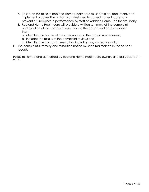- 7. Based on this review, Robland Home Healthcare must develop, document, and implement a corrective action plan designed to correct current lapses and prevent futurelapses in performance by staff or Robland Home Healthcare, if any.
- 8. Robland Home Healthcare will provide a written summary of the complaint and a notice ofthe complaint resolution to the person and case manager that:
	- a. identifies the nature of the complaint and the date it wasreceived;
	- b. includes the results of the complaint review; and
	- c. identifies the complaint resolution, including any corrective action.
- D. The complaint summary and resolution notice must be maintained in the person's record.

Policy reviewed and authorized by Robland Home Healthcare owners and last updated 1- 2019.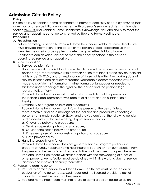# **Admission Criteria Policy**

## **I. Policy**

It is the policy of Robland Home Healthcare to promote continuity of care by ensuring that admission and service initiation is consistent with a person's service recipient rights under section [245D.04](https://www.revisor.mn.gov/statutes/?id=245D.04) and Robland Home Healthcare's knowledge, skill, and ability to meet the service and support needs of persons served by Robland Home Healthcare.

### **II. Procedures**

A. Pre-admission

Before admitting a person to Robland Home Healthcare, Robland Home Healthcare must provide information to the person or the person's legal representative that identifies the criteria to be applied in determining whether Robland Home Healthcare can develop services to meet the needs specified in the person's coordinated service and support plan.

- B. Service initiation
	- 1. Service recipient rights

Upon service initiation Robland Home Healthcare will provide each person or each person's legal representative with a written notice that identifies the service recipient rights under 245D.04, and an explanation of those rights within five working days of service initiation and annually thereafter. Reasonable accommodations will be made to provide this information in other formats or languages as needed to facilitate understanding of the rights by the person and the person's legal representative, if any.

Robland Home Healthcare will maintain documentation of the person's or the person's legal representative's receipt of a copy and an explanation of the rights.

2. Availability of program policies and procedures:

Robland Home Healthcare must inform the person, or the person's legal representative, and case manager of the policies and procedures affecting a person's rights under section 245D.04, and provide copies of the following policies and procedures, within five working days of service initiation:

- a. Grievance policy and procedure;
- b. Service suspension policy and procedure;
- c. Service termination policy and procedure;
- d. Emergency use of manual restraints policy and procedure
- e. Data privacy policy.
- 3. Handling property and funds:

Robland Home Healthcare does not generally handle program participant property or funds. Robland Home Healthcare will obtain written authorization from the person or the person's legal representative and the case manager whenever Robland Home Healthcare will assist a person with the safekeeping of funds or other property. Authorization must be obtained within five working days of service initiation and renewed annually thereafter.

- C. Refusal to admit a person
	- 1. Refusal to admit a person to Robland Home Healthcare must be based on an evaluation of the person's assessed needs and the licensed provider's lack of capacity to meet the needs of the person.
	- 2. Robland Home Healthcare must not refuse to admit a person based solely on: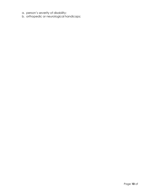- a. person's severity of disability;
- b. orthopedic or neurological handicaps;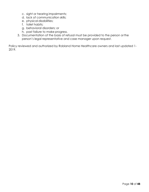- c. sight or hearing impairments;
- d. lack of communication skills;
- e. physical disabilities;
- f. toilet habits;
- g. behavioral disorders; or
- h. past failure to make progress.
- 3. Documentation of the basis of refusal must be provided to the person orthe person's legal representative and case manager upon request.

Policy reviewed and authorized by Robland Home Healthcare owners and last updated 1- 2019.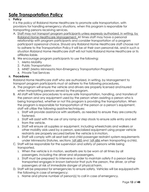# **Safe Transportation Policy**

## **I. Policy**

It is the policy of Robland Home Healthcare to promote safe transportation, with provisions for handling emergency situations, when this program is responsible for transporting persons receiving services.

- A. Staff may not transport program participants unless expressly authorized, in writing, by Robland Home Healthcare Management. At times staff may have a personal relationship with program participants and consider transportation of a program participant apersonal choice. Should any Robland Home Healthcare staff choose not to adhere to the Transportation Policy it will be at their own personal risk, and in such a situation Robland Home Healthcare staff will not hold Robland Home Healthcare or its affiliates liable.
- B. We encourage program participants to use the following:
	- 1. Metro Mobility
	- 2. Public Transportation
	- 3. MNET (Metro Minnesota Non-Emergency Transportation Program)
	- 4. Private Taxi Services

#### **II. Procedures**

Robland Home Healthcare staff who are authorized, in writing, by Management to transport program participants must at adhere to the following procedures.

- A. The program will ensure the vehicle and drivers are properly licensed andinsured when transporting persons served by the program.
- B. All staff will follow procedures to ensure safe transportation, handling, and transfersof the person and any equipment used by the person when assisting a person who is being transported, whether or not this program is providing the transportation. When the program is responsible for transportation of the person or a person's equipment, staff will utilize the following assistive techniques:
	- 1. Staff will provide assistance with seatbelts, as needed to ensure they arecorrectly fastened.
	- 2. Staff will assist with the use of any ramp or step stools to ensure safe entry and exit from the vehicle.
	- 3. Staff will ensure all supplies or equipment, including wheelchairs and walkers or other mobility aids used by a person, specialized equipment using proper vehicle restraints are properly secured before the vehicle is inmotion.
	- 4. Staff will comply with all seat belt and child passenger restraint system requirements under Minnesota Statutes, sections [169.685 a](https://www.revisor.mn.gov/statutes/?id=169.685)nd [169.686 w](https://www.revisor.mn.gov/statutes/?id=169.686)hen transporting achild.
- C. Staff will be responsible for the supervision and safety of persons while being transported.
	- 1. When the vehicle is in motion, seatbelts are to be worn at all times by all passengers, including the driver and all passengers.
	- 2. Staff must be prepared to intervene in order to maintain safety if a person being transported engages in known behavior that puts the person, the driver, or other passengers at risk of immediate danger of physical harm.
- D. Staff will be prepared for emergencies to ensure safety. Vehicles will be equippedwith the following in case of emergency:
	- 1. Name and phone number of person(s) to call in case of emergency.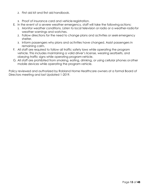- 2. First aid kit and first aid handbook.
- 3. Proof of insurance card and vehicle registration.
- E. In the event of a severe weather emergency, staff will take the following actions:
	- 1. Monitor weather conditions. Listen to local television or radio or a weather-radiofor weather warnings and watches.
	- 2. Follow directions for the need to change plans and activities or seek emergency shelter.
	- 3. Inform passengers why plans and activities have changed. Assist passengers in remaining calm.
- F. All staff are required to follow all traffic safety laws while operating the program vehicle. This includes maintaining a valid driver's license, wearing seatbelts, and obeying traffic signs while operating program vehicle.
- G. All staff are prohibited from smoking, eating, drinking, or using cellular phones orother mobile devices while operating the program vehicle.

Policy reviewed and authorized by Robland Home Healthcare owners at a formal Board of Directors meeting and last Updated 1-2019.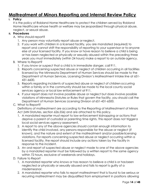# **Maltreatment of Minors Reporting and Internal Review Policy**

## **I. Policy**

It is the policy of Robland Home Healthcare to protect the children served by Robland Home Healthcare whose health or welfare may be jeopardized through physical abuse, neglect, or sexual abuse.

### **II. Procedures**

- A. Who should report?
	- 1. Any person may voluntarily report abuse or neglect.
	- 2. If you work with children in a licensed facility, you are mandated (required) to report and cannot shift the responsibility of reporting to your supervisor or to anyone else at your licensed facility. If you know or have reason to believe a child is being or has been neglected or physically or sexually abused within the preceding three years you must immediately (within 24 hours) make a report to an outside agency.
- B. Where to Report?
	- 1. If you know or suspect that a child is in immediate danger, call 911.
	- 2. Reports concerning suspected abuse or neglect of children occurring in all facilities licensed by the Minnesota Department of Human Services should be made to the Department of Human Services, Licensing Division's Maltreatment Intake line at 651- 431-6600.
	- 3. Reports regarding incidents of suspected abuse or neglect of children occurring within a family or in the community should be made to the local county social services agency or local law enforcement at 911.
	- 4. If your report does not involve possible abuse or neglect but does involve possible violations of Minnesota Statutes or Rules that govern the facility, you should call the Department of Human Services Licensing Division at 651-431-6500.
- C. What to Report?

Definitions of maltreatment are according to the Reporting of Maltreatment of Minors Act (MN Statutes, section 626.556) and are attached to this policy.

- 1. A mandated reporter must report to law enforcement kidnapping or actions that deprive a parent of custodial or parenting time rights. This report does not triggera local social services agency assessment.
- 2. A report to any of the above agencies should contain enough information to identify the child involved, any persons responsible for the abuse or neglect (if known), and the nature and extent of the maltreatment and/or possiblelicensing violations. For reports concerning suspected abuse or neglect occurring within a licensed facility, the report should include any actions taken by the facility in response to the incident.
- 3. An oral report of suspected abuse or neglect made to one of the above agencies by a mandated reporter must be followed by a written report to the same agency within 72 hours, exclusive of weekends and holidays.
- D. Failure to Report
	- 1. A mandated reporter who knows or has reason to believe a child is or hasbeen neglected or physically or sexually abused and fails to report is guilty of a misdemeanor.
	- 2. A mandated reporter who fails to report maltreatment that is found to be serious or recurring maltreatment may be disqualified from employment in positions allowing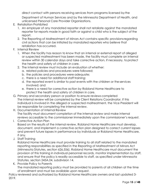direct contact with persons receiving services from programs licensed by the

Department of Human Services and by the Minnesota Department of Health, and unlicensed Personal Care Provider Organizations.

- E. Retaliation Prohibited
	- 1. An employer of any mandated reporter shall not retaliate against the mandated reporter for reports made in good faith or against a child who is the subject of the report.
	- 2. The Reporting of Maltreatment of Minors Act contains specific provisionsregarding civil actions that can be initiated by mandated reporters who believe that retaliation has occurred.
- F. Internal Review
	- 1. When the facility has reason to know that an internal or external report of alleged or suspected maltreatment has been made, the facility must complete an internal review within 30 calendar days and take corrective action, if necessary, to protect the health and safety of children in care.
	- 2. The internal review must include an evaluation of whether:
		- a. related policies and procedures were followed;
		- b. the policies and procedures were adequate;
		- c. there is a need for additional staff training;
		- d. the reported event is similar to past events with the children or the services involved; and
		- e. there is a need for corrective action by Robland Home Healthcare to protect the health and safety of children in care.
- G. Primary and secondary person or position to ensure reviews completed The internal review will be completed by the Client Relations Coordinator. If this individual is involved in the alleged or suspected maltreatment, the Vice President will be responsible for completing the internal review.
- H. Documentation of Internal Review The facility must document completion of the internal review and make internal reviews accessible to the commissioner immediately upon the commissioner's request.
- I. Corrective Action Plan Based on the results of the internal review, Robland Home Healthcare must develop, document, and implement a corrective action plan designed to correct current lapses and prevent future lapses in performance by individuals or Robland Home Healthcare, if any.
- J. Staff Training

Robland Home Healthcare must provide training to all staff related to the mandated reporting responsibilities as specified in the Reporting of Maltreatment of Minors Act (Minnesota Statutes, section 626.556). Robland Home Healthcare must document the provision of this training in individual personnel records, monitor implementation by staff, and ensure that the policy is readily accessible to staff, as specified under Minnesota Statutes, section 245A.04, subdivision 14.

K. Provide Policy to Parents

The mandated reporting policy must be provided to parents of all children at the time of enrollment and must be available upon request.

Policy reviewed and authorized by Robland Home Healthcare owners and last updated 3- 2019.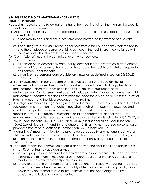## **626.556 REPORTING OF MALTREATMENT OF MINORS.**

### **Subd. 2. Definitions.**

As used in this section, the following terms have the meanings given them unless the specific content indicates otherwise:

- (a)"Accidental" means a sudden, not reasonably foreseeable, and unexpected occurrence or event which:
	- (1) is not likely to occur and could not have been prevented by exercise of due care; and
	- (2) if occurring while a child is receiving services from a facility, happens when the facility and the employee or person providing services in the facility are in compliance with the laws and rules relevant to the occurrence or event.
- (b) "Commissioner" means the commissioner of human services.
- (c) "Facility" means:
	- (1) a licensed or unlicensed day care facility, certified license-exempt child care center, residential facility, agency, hospital, sanitarium, or other facility or institution required to be licensed under sections
	- (2) a non-licensed personal care provider organization as defined in section 256B.0625, subdivision 19a.
- (d)"Family assessment" means a comprehensive assessment of child safety, risk of subsequent child maltreatment, and family strengths and needs that is applied to a child maltreatment report that does not allege sexual abuse or substantial child endangerment. Family assessment does not include a determination as to whether child maltreatment occurred but does determine the need for services to address the safetyof family members and the risk of subsequent maltreatment.
- (e)"Investigation" means fact gathering related to the current safety of a child and the risk of subsequent maltreatment that determines whether child maltreatment occurred and whether child protective services are needed. An investigation must be used when reports involve sexual abuse or substantial child endangerment, and for reports of maltreatment in facilities required to be licensed or certified under chapter 245A, 245D, or 245H; under sections 144.50 to 144.58 and 241.021; in a school as defined in section 120A.05,subdivisions 9, 11, and 13, and chapter 124E; or in a non-licensed personal care provider association as defined in section 256B.0625, subdivision 19a.
- (f) "Mental injury" means an injury to the psychological capacity or emotional stability ofa child as evidenced by an observable or substantial impairment in the child's ability to function within a normal range of performance and behavior with due regard to the child's culture.
- (g) "Neglect" means the commission or omission of any of the acts specified underclauses
	- (1) to (9), other than by accidental means:
	- (1) failure by a person responsible for a child's care to supply a child with necessary food, clothing, shelter, health, medical, or other care required for the child's physical or mental health when reasonably able to do so;
	- (2) failure to protect a child from conditions or actions that seriously endanger thechild's physical or mental health when reasonably able to do so, including a growth, delay, which may be referred to as a failure to thrive, that has been diagnosed by a physician and is due to parental neglect;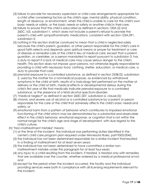- (3) failure to provide for necessary supervision or child care arrangements appropriate for a child after considering factors as the child's age, mental ability, physical condition, length of absence, or environment, when the child is unable to care for the child's own basic needs or safety, or the basic needs or safety or another child in theircare;
- (4) failure to ensure that the child is educated as defined in sections 120A.22 and 260C.163, subdivision11, which does not include a parent's refusal to provide the parent's child with sympathomimetic medications, consistent with section 125A.091, subdivision 5;
- (5) nothing in this section shall be construed to mean that a child is neglected solely because the child's parent, guardian, or other person responsible for the child's care in good faith selects and depends upon spiritual means or prayer for treatment or care of disease or remedial care of the child in lieu of medical care; except that a parent, guardian, or caretaker, or a person mandated to report pursuant to subdivision 3, has a duty to report if a lack of medical care may cause serious danger to the child's health. This section does not impose upon persons, not otherwise legally responsiblefor providing a child with necessary food, clothing, shelter, education, or medical care, a duty to provide that care;
- (6) prenatal exposure to a controlled substance, as defined in section 253B.02, subdivision 2, used by the mother for a nonmedical purpose, as evidenced by withdrawal symptoms in the child at birth, results of a toxicology test performed on the mother at delivery or the child at birth, medical effects or developmental delays during the child's first year of life that medically indicate prenatal exposure to a controlled substance, or the presence of a fetal alcohol spectrum disorder;
- (7) "medical neglect" as defined in section 260C.007, subdivision 6, clause(5);
- (8) chronic and severe use of alcohol or a controlled substance by a parent or person responsible for the care of the child that adversely affects the child's basic needs and safety; or
- (9) emotional harm from a pattern of behavior which contributes to impaired emotional functioning of the child which may be demonstrated by a substantial andobservable effect in the child's behavior, emotional response, or cognition that is not within the normal range for the child's age and stage of development, with due regard to the child's culture.
- (h) "Non-maltreatment mistake" means:
	- (1) at the time of the incident, the individual was performing duties identified in the center's child care program plan required under Minnesota Rules, part 9503.0045;
	- (2) the individual has not been determined responsible for a similar incident thatresulted in a finding of maltreatment for at least seven years;
	- (3) the individual has not been determined to have committed a similar nonmaltreatment mistake under this paragraph for at least four years;
	- (4) any injury to a child resulting from the incident, if treated, is treated only with remedies that are available over the counter, whether ordered by a medical professional ornot; and
	- (5) except for the period when the incident occurred, the facility and the individual providing services were both in compliance with all licensing requirements relevantto the incident.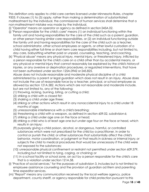This definition only applies to child care centers licensed under Minnesota Rules, chapter 9503. If clauses (1) to (5) apply, rather than making a determination of substantiated maltreatment by the individual, the commissioner of human services shall determine that a non-maltreatment mistake was made by the individual.

- (i) "Operator" means an operator or agency as defined in section 245A.02.
- (j) "Person responsible for the child's care" means (1) an individual functioning within the family unit and having responsibilities for the care of the child such as a parent, guardian, or other person having similar care responsibilities, or (2) an individual functioning outside the family unit and having responsibilities for the care of the child such as a teacher, school administrator, other school employees or agents, or other lawful custodian of a child having either full-time or short-term care responsibilities including, but not limited to, day care, babysitting whether paid or unpaid, counseling, teaching, and coaching.
- (k) "Physical abuse" means any physical injury, mental injury, or threatened injury, inflicted by a person responsible for the child's care on a child other than by accidental means, or any physical or mental injury that cannot reasonably be explained by the child's historyof injuries, or any aversive or deprivation procedures, or regulated interventions, that have not been authorized under section 125A.0942 or 245.825.

Abuse does not include reasonable and moderate physical discipline of a child administered by a parent or legal guardian which does not result in an injury. Abuse does not include the use of reasonable force by a teacher, principal, or school employee as allowed by section 121A.582. Actions which are not reasonable and moderate include, but are not limited to, any of the following:

- (1) throwing, kicking, burning, biting, or cutting a child;
- (2) striking a child with a closed fist;
- (3) shaking a child under age three;
- (4) striking or other actions which result in any nonaccidental injury to a child under 18 months of age;
- (5) unreasonable interference with a child's breathing;
- (6) threatening a child with a weapon, as defined in section 609.02, subdivision 6;
- (7) striking a child under age one on the face or head;
- (8) striking a child who is at least age one but under age four on the face or head, which results in an injury;
- (9) purposely giving a child poison, alcohol, or dangerous, harmful, or controlled substances which were not prescribed for the child by a practitioner, in order to control or punish the child; or other substances that substantially affect the child's behavior, motor coordination, or judgment or that results in sickness or internal injury,or subjects the child to medical procedures that would be unnecessary if the child were not exposed to the substances;
- (10) unreasonable physical confinement or restraint not permitted under section 609.379, including but not limited to tying, caging, or chaining; or
- (11) in a school facility or school zone, an act by a person responsible for the child's care that is a violation under section 121A.58.
- (l) "Practice of social services," for the purposes of subdivision 3, includes but is not limited to employee assistance counseling and the provision of guardian ad litem and parenting time expeditor services.
- (m) "Report" means any communication received by the local welfare agency, police department, county sheriff, or agency responsible for child protection pursuant tothis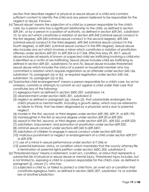section that describes neglect or physical or sexual abuse of a child and contains sufficient content to identify the child and any person believed to be responsible for the neglect or abuse, if known.

- (n)"Sexual abuse" means the subjection of a child by a person responsible for the child's care, by a person who has a significant relationship to the child, as defined in section 609.341, or by a person in a position of authority, as defined in section 609.341, subdivision 10, to any act which constitutes a violation of section 609.342 (criminal sexual conduct in the first degree), 609.343 (criminal sexual conduct in the second degree), 609.344 (criminal sexual conduct in the third degree), 609.345 (criminal sexual conduct in the fourth degree), or 609.3451 (criminal sexual conduct in the fifth degree). Sexual abuse also includes any act which involves a minor which constitutes a violation of prostitution offenses under sections 609.321 to 609.324 or 617.246. Effective May 29, 2017, sexual abuse includes all reports of known or suspected child sex trafficking involving a child who is identified as a victim of sex trafficking. Sexual abuse includes child sex trafficking as defined in section 609.321, subdivisions 7a and 7b. Sexual abuse includes threatened sexual abuse which includes the status of a parent or household member who has committed a violation which requires registration as an offender under section 243.166, subdivision 1b, paragraph (a) or (b), or required registration under section 243.166, subdivision 1b, paragraph (a) or (b).
- (o)"Substantial child endangerment" means a person responsible for a child's care, by actor omission, commits or attempts to commit an act against a child under their care that constitutes any of the following:
	- (1) egregious harm as defined in section 260C.007, subdivision 14;
	- (2) abandonment under section 260C.301, subdivision 2;
	- (3) neglect as defined in paragraph (g), clause (2), that substantially endangers the child's physical or mental health, including a growth delay, which may be referredto as failure to thrive, that has been diagnosed by a physician and is due to parental neglect;
	- (4) murder in the first, second, or third degree under section 609.185, 609.19, or 609.195;
	- (5) manslaughter in the first or second degree under section 609.20 or 609.205;
	- (6) assault in the first, second, or third degree under section 609.221, 609.222, or 609.223;
	- (7) solicitation, inducement, and promotion of prostitution under section 609.322;
	- (8) criminal sexual conduct under sections 609.342 to 609.3451;
	- (9) solicitation of children to engage in sexual conduct under section 609.352;
	- (10) malicious punishment or neglect or endangerment of a child under section 609.377 or 609.378;
	- (11) use of a minor in sexual performance under section 617.246; or
	- (12) parental behavior, status, or condition which mandates that the county attorney file a termination of parental rights petition under section 260C.503, subdivision 2.
- (p)"Threatened injury" means a statement, overt act, condition, or status that represents a substantial risk of physical or sexual abuse or mental injury. Threatened injury includes, but is not limited to, exposing a child to a person responsible for the child's care, as defined in paragraph (j), clause (1), who has:
	- (1) subjected a child to, or failed to protect a child from, an overt act or condition that constitutes egregious harm, as defined in section 260C.007, subdivision 14, or asimilar law of another jurisdiction;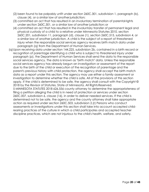- (2) been found to be palpably unfit under section 260C.301, subdivision 1, paragraph (b), clause (4), or a similar law of another jurisdiction;
- (3) committed an act that has resulted in an involuntary termination of parental rights under section 260C.301, or a similar law of another jurisdiction;or
- (4) committed an act that has resulted in the involuntary transfer of permanent legal and physical custody of a child to a relative under Minnesota Statutes 2010, section 260C.201, subdivision 11, paragraph (d), clause (1), section 260C.515, subdivision 4, or a similar law of another jurisdiction. A child is the subject of a report of threatened injury when the responsible social services agency receives birth match data under paragraph (q) from the Department of Human Services.
- (q)Upon receiving data under section 144.225, subdivision 2b, contained in a birth record or recognition of parentage identifying a child who is subject to threatened injury under paragraph (p), the Department of Human Services shall send the data to the responsible social services agency. The data is known as "birth match" data. Unless the responsible social services agency has already begun an investigation or assessment of the report due to the birth of the child or execution of the recognition of parentage and the parent's previous history with child protection, the agency shall accept the birth match data as a report under this section. The agency may use either a family assessment or investigation to determine whether the child is safe. All of the provisions of this section apply. If the child is determined to be safe, the agency shall consult with the Copyright © 2018 by the Revisor of Statutes, State of Minnesota. All Rights Reserved. 5 MINNESOTA STATUTES 2018 626.556 county attorney to determine the appropriateness of

filing a petition alleging the child is in need of protection or services under section 260C.007, subdivision 6, clause (16), in order to deliver needed services. If the child is determined not to be safe, the agency and the county attorney shall take appropriate action as required under section 260C.503, subdivision 2.(r) Persons who conduct assessments or investigations under this section shall take into account accepted childrearing practices of the culture in which a child participates and accepted teacher discipline practices, which are not injurious to the child's health, welfare, and safety.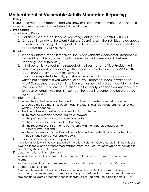# **Maltreatment of Vulnerable Adults Mandated Reporting**

## **I. Policy**

If you are a mandated reporter, and you know or suspect maltreatment of a vulnerable adult, you must report it immediately (within 24 hours).

#### **II. Procedures**

- A. Where to Report
	- 1. Call the Minnesota Adult Abuse Reporting Center (MAARC) at 844-880-1574.
	- 2. Or, report internally to the Client Relations Coordinator. If the individual listed above is involved in the alleged or suspected maltreatment, report to the administrator, Aimee Hulsing, at 763-575-8046.
- B. Internal Report
	- 1. When an internal report is received, the Client Relations Coordinator isresponsible for deciding if the report must be forwarded to the Minnesota Adult Abuse Reporting Center (MAARC).
	- 2. If that person is involved in the suspected maltreatment, the Vice President will assume responsibility for deciding if the report must be forwarded to MAARC. The report must be forwarded within 24 hours.
	- 3. If you have reported internally, you should receive, within two working days, a written notice that tells you whether or not your report has been forwarded to MAARC. You should receive this notice in a manner that protects your identity. Itwill inform you that, if you are not satisfied with the facility's decision on whether or not to report externally, you may still contact the reporting center and be protected against retaliation.
- C. Internal Review
	- 1. When the facility has reason to know that an internal or external report of alleged or suspected maltreatment has been made, the facility must complete aninternal review within 30 calendar days.
	- 2. The internal review must include an evaluation of whether:
		- a. related policies and procedures were followed;
		- b. the policies and procedures were adequate;
		- c. there is a need for additional staff training;
		- d. the reported event is similar to past events with the vulnerable adults orthe services involved; and
		- e. there is a need for corrective action by Robland Home Healthcare to protect the health and safety of vulnerable adults.
- D. Primary and secondary person or position to review The internal review will be completed by the Client Relations Coordinator. If this individual is involved in the alleged or suspected maltreatment, the Vice President will be responsible for completing the internal review.
- E. Documentation of internal review Robland Home Healthcare must document completion of the internal review and make internal

reviews accessible to the commissioner immediately upon the commissioner's request.

F. Corrective action plan Based on the results of the internal review, Robland Home Healthcare must develop, document, and implement a corrective action plan designed to correct current lapses and prevent future lapses in performance by individuals or Robland Home Healthcare, if any.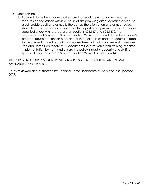#### G. Staff training

1. Robland Home Healthcare shall ensure that each new mandated reporter receives anorientation within 72 hours of first providing direct contact services to a vulnerable adult and annually thereafter. The orientation and annual review shall inform the mandated reporters of the reporting requirements and definitions specified under Minnesota Statutes, sections 626.557 and 626.5572, the requirements of Minnesota Statutes, section 245A.65, Robland Home Healthcare's program abuse prevention plan, and all internal policies and procedures related to the prevention and reporting of maltreatment of individuals receiving services. Robland Home Healthcare must document the provision of this training, monitor implementation by staff, and ensure the policy is readily accessible to staff, as specified under Minnesota Statutes, section 245A.04, subdivision 14.

THIS REPORTING POLICY MUST BE POSTED IN A PROMINENT LOCATION, AND BE MADE AVAILABLE UPON REQUEST.

Policy reviewed and authorized by Robland Home Healthcare owners and last updated 1- 2019.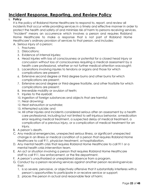# **Incident Response, Reporting, and Review Policy**

## **I. Policy**

It is the policy of Robland Home Healthcare to respond to, report, and review all incidents that occur while providing services in a timely and effective manner in order to protect the health and safety of and minimize risk of harm to persons receiving services. "Incident" means an occurrence which involves a person and requires Robland Home Healthcare to make a response that is not part of Robland Home Healthcare's ordinary provision of services to that person, and includes:

- A. Serious injury of a person;
	- 1. Fractures;
	- 2. Dislocations;
	- 3. Evidence of internal injuries;
	- 4. Head injuries with loss of consciousness or potential for a closed head injury or concussion without loss of consciousness requiring a medical assessment by a health care professional, whether or not further medical attention wassought;
	- 5. Lacerations involving injuries to tendons or organs and those for which complications are present;
	- 6. Extensive second degree or third degree burns and other burns for which complications are present;
	- 7. Extensive second degree or third-degree frostbite, and other frostbite for which complications are present;
	- 8. Irreversible mobility or avulsion of teeth;
	- 9. Injuries to the eyeball;
	- 10. Ingestion of foreign substances and objects that are harmful;
	- 11. Near drowning;
	- 12. Heat exhaustion or sunstroke;
	- 13. Attempted suicide; and
	- 14. All other injuries and incidents considered serious after an assessment by a health care professional, including but not limited to self-injurious behavior, amedication error requiring medical treatment, a suspected delay of medical treatment, a complication of a previous injury, or a complication of medical treatment for an injury.
- B. A person's death.
- C. Any medical emergencies, unexpected serious illness, or significant unexpected change in an illness or medical condition of a person that requires Robland Home Healthcare to call 911, physician treatment, or hospitalization.
- D. Any mental health crisis that requires Robland Home Healthcare to call 911 or a mental health crisis intervention team.
- E. An act or situation involving a person that requires Robland Home Healthcare staff to call 911, law enforcement, or the fire department.
- F. A person's unauthorized or unexplained absence from a program.
- G. Conduct by a person receiving services against another person receivingservices that:
	- 1. is so severe, pervasive, or objectively offensive that it substantially interferes witha person's opportunities to participate in or receive service or support;
	- 2. places the person in actual and reasonable fear of harm;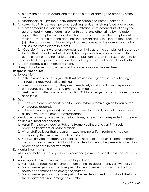- 3. places the person in actual and reasonable fear of damage to property of the person; or
- 4. substantially disrupts the orderly operation of Robland Home Healthcare.
- H. Any sexual activity between persons receiving services involving force orcoercion.
	- 1. "Force" means the infliction, attempted infliction, or threatened infliction by the actor of bodily harm or commission or threat of any other crime by the actor against the complainant or another, harm which (a) causes the complainant to reasonably believe that the actor has the present ability to execute the threatand (b) if the actor does not have a significant relationship to the complainant, also causes the complainant to submit.
	- 2. "Coercion" means words or circumstances that cause the complainant reasonably to fear that the actor will inflict bodily harm upon, or hold in confinement, the complainant or another, or force the complainant to submit to sexual penetration or contact, but proof of coercion does not require proof of a specific act orthreat).
- I. Any emergency use of manual restraint.
- J. A report of alleged or suspected child or vulnerable adult maltreatment.

## **II. Response Procedures**

- A. Serious injury
	- 1. In the event of a serious injury, staff will provide emergency first aid following instructions received during training.
	- 2. Summon additional staff, if they are immediately available, to assist inproviding emergency first aid or seeking emergency medical care.
	- 3. Seek medical attention, including calling 911 for emergency medical care, assoon as possible.
- B. Death
	- 1. If staff are alone, immediately call 911 and follow directives given to you by the emergency responder.
	- 2. If there is another person(s) with you, ask them to call 911, and follow directives given to you by the emergency responder.
- C. Medical emergency, unexpected serious illness, or significant unexpected change in an illness or medical condition
	- 1. Assess if the person requires Robland Home Healthcare to call 911, seek physician treatment,or hospitalization.
	- 2. When staff believes that a person is experiencing a life-threatening medical emergency, they must immediately call 911.
	- 3. Staff will provide emergency first aid as trained or directed until further emergency medical care arrives at Robland Home Healthcare or the person is taken to a physician or hospital for treatment.

## D. Mental health crisis

When staff believes that a person is experiencing a mental health crisis, they must call 911.

- E. Requiring 911, law enforcement, or Fire Department:
	- 1. For incidents requiring law enforcement or the fire department, staff will call 911.
	- 2. For non-emergency incidents requiring law enforcement, staff will call the local police department's non-emergency number.
	- 3. For non-emergency incidents requiring the fire department, staff will call the local fire department's non-emergency number.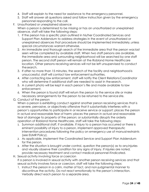- 4. Staff will explain to the need for assistance to the emergency personnel.
- 5. Staff will answer all questions asked and follow instruction given by the emergency personnel responding to the call.
- F. Unauthorized or unexplained absence When a person is determined to be missing or has an unauthorized or unexplained absence, staff will take the following steps:
	- 1. If the person has a specific plan outlined in his/her Coordinated Services and Support Plan Addendum to address strategies in the event of unauthorized or unexplained absences that procedure should be implemented immediately, unless special circumstances warrant otherwise.
	- 2. An immediate and thorough search of the immediate area that the person waslast seen will be completed by available staff. When two staff persons are available, the immediate area and surrounding neighborhood will be searched by one staff person. The second staff person will remain at the Robland Home Healthcare location. Other persons receiving services will not be left unsupervised to conduct thesearch.
	- 3. If after no more than 15 minutes, the search of the facility and neighborhoodis unsuccessful, staff will contact law enforcement authorities.
	- 4. After contacting law enforcement, staff will notify the Client RelationsCoordinator who will determine if additional staff are needed to assist in thesearch.
	- 5. A current photo will be kept in each person's file and made available to law enforcement.
	- 6. When the person is found staff will return the person to the service site or make necessary arrangements for the person to be returned to the service site.

## G. Conduct of the person

When a person is exhibiting conduct against another person receiving services that is so severe, pervasive, or objectively offensive that it substantially interferes with a person's opportunities to participate in or receive service or support; places the person in actual and reasonable fear of harm; places the person in actual and reasonable fear of damage to property of the person; or substantially disrupts the orderly operation of Robland Home Healthcare, staff will take the following steps:

- 1. Summon additional staff, if available. If injury to a person has occurred or there is eminent possibility of injury to a person, implement approved therapeutic intervention procedures following the policy on emergency use of manual restraints (see EUMR Policy).
- 2. As applicable, implement the Coordinated Service and Support Plan Addendum for the person.
- 3. After the situation is brought under control, question the person(s) as to anyinjuries and visually observe their condition for any signs of injury. If injuries are noted, provide necessary treatment and contact medical personnel ifindicated.
- H. Sexual activity involving force or coercion If a person is involved in sexual activity with another person receiving services and that sexual activity involves force or coercion, staff will take the following steps:
	- 1. Instruct the person in a calm, matter of fact, and non-judgmental manner to discontinue the activity. Do not react emotionally to the person's interaction. Verbally direct each person to a separate area.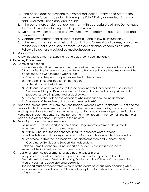- 2. If the person does not respond to a verbal redirection, intervene to protect the person from force or coercion, following the EUMR Policy as needed. Summon additional staff if necessary and feasible.
- 3. If the persons are unclothed, provide them with appropriate clothing. Do not have them redress in the clothing that they were wearing.
- 4. Do not allow them to bathe or shower until law enforcement has responded and cleared this action.
- 5. Contact law enforcement as soon as possible and follow all instructions.
- 6. If the person(s) expresses physical discomfort and/or emotional distress, or forother reasons you feel it necessary, contact medical personnel as soon as possible. Follow all directions provided by medical personnel.

#### I. Maltreatment

Follow the Maltreatment of Minors or Vulnerable Adult Reporting Policy.

#### **III. Reporting Procedures**

- A. Completing a report
	- 1. Incident reports will be completed as soon possible after the occurrence, but no later than 24 hours after the incident occurred or Robland Home Healthcare became aware ofthe occurrence. The written report will include:
		- a. The name of the person or persons involved in theincident;
		- b. The date, time, and location of the incident;
		- c. A description of the incident;
		- d. A description of the response to the incident and whether a person's Coordinated Service and Support Plan addendum or Robland Home Healthcare policies and procedures were implemented as applicable;
		- e. The name of the staff person or persons who responded to the incident;and
		- f. The results of the review of the incident (see section IV).
- 2. When the incident involves more than one person, Robland Home Healthcare will not disclose personally identifiable information about any other person when making the report to the legal representative or designated emergency contact and case manager, unless Robland Home Healthcare has consent of the person. The written report will not contain the name or initials of the other person(s) involved in the incident.
- B. Reporting incidents to team members
	- 1. All incidents must be reported to the person's legal representative or designated emergency contact and case manager:
		- a. within 24 hours of the incident occurring while services were provided;
		- b. within 24 hours of discovery or receipt of information that an incident occurred;or
		- c. as otherwise directed in a person's Coordinated Service and Support Plan or Coordinated Service and Support Plan addendum.
	- 2. Robland Home Healthcare will not report an incident when it has a reason to know that the incident has already been reported.
- C. Additional reporting requirements for deaths and seriousinjuries
	- 1. A report of the death or serious injury of a person must be reported to both the Department of Human Services Licensing Division and the Office of Ombudsman for Mental Health and Developmental Disabilities.
	- 2. The report must be made within 24 hours of the death or serious injury occurring while services were provided or within 24 hours of receipt of information that the death or serious injury occurred.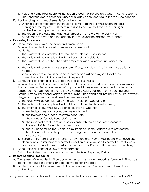- 3. Robland Home Healthcare will not report a death or serious injury when it has a reason to know that the death or serious injury has already been reported to the required agencies.
- D. Additional reporting requirements for maltreatment
	- 1. When reporting maltreatment, Robland Home Healthcare must inform the case manager ofthe report unless there is reason to believe that the case manager is involved in the suspected maltreatment.
	- 2. The report to the case manager must disclose the nature of the activity or occurrence reported and the agency that received the maltreatmentreport.

#### **IV. Reviewing Procedures**

A. Conducting a review of incidents and emergencies Robland Home Healthcare will complete a review of all incidents.

- 1. The review will be completed by the Client Relations Coordinator.
- 2. The review will be completed within 14 days of theincident.
- 3. The review will ensure that the written report provides a written summary ofthe incident.
- 4. The review will identify trends or patterns, if any, and determine if correctiveaction is needed.
- 5. When corrective action is needed, a staff person will be assigned to takethe corrective action within a specified time period.
- B. Conducting an internal review of deaths and serious injuries Robland Home Healthcare will conduct an internal review of all deaths and serious injuries that occurred while services were being provided if they were not reported as alleged or suspected maltreatment. (Refer to the Vulnerable Adults Maltreatment Reporting and Internal Review Policy and Maltreatment of Minors Reporting and Internal Review Policy when alleged or suspected maltreatment has been reported).
	- 1. The review will be completed by the Client Relations Coordinator.
	- 2. The review will be completed within 14 days of the death or seriousinjury.
	- 3. The internal review must include an evaluation of whether:
		- a. related policies and procedures were followed;
		- b. the policies and procedures were adequate;
		- c. there is need for additional staff training;
		- d. the reported event is similar to past events with the persons or theservices involved to identify incident patterns; and
		- e. there is need for corrective action by Robland Home Healthcare to protect the health and safety of the persons receiving services and to reduce future occurrences.
	- 4. Based on the results of the internal review, Robland Home Healthcare must develop, document, and implement a corrective action plan designed to correct current lapses and prevent future lapses in performance by staff or Robland Home Healthcare, ifany.
- C. Conducting an internal review of maltreatment Follow the Maltreatment of Minors or Vulnerable Adult Reporting Policy

#### **V. Record Keeping Procedures**

- A. The review of an incident will be documented on the incident reporting form andwill include identifying trends or patterns and corrective action if needed.
- B. Incident reports will be maintained in the person's record. The record must be uniform and legible.

Policy reviewed and authorized by Robland Home Healthcare owners and last updated 1-2019.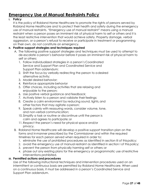# **Emergency Use of Manual Restraints Policy**

## **I. Policy**

It is the policy of Robland Home Healthcare to promote the rights of persons served by Robland Home Healthcare and to protect their health and safety during the emergency use of manual restraints. "Emergency use of manual restraint" means using a manual restraint when a person poses an imminent risk of physical harm to self or others and it is the least restrictive intervention that would achieve safety. Property damage, verbal aggression, or a person's refusal to receive or participate in treatment or programming on their own, do not constitute an emergency.

# **II. Positive support strategies and techniques** r**equired**

- A. The following positive support strategies and techniques must be used to attempt to de-escalate a person's behavior before it poses an imminent risk of physical harm to self or others:
	- 1. Follow individualized strategies in a person's Coordinated Service and Support Plan and Coordinated Service and Support Plan addendum;
	- 2. Shift the focus by verbally redirecting the person to adesired alternative activity;
	- 3. Model desired behavior;
	- 4. Reinforce appropriate behavior
	- 5. Offer choices, including activities that are relaxing and enjoyable to the person;
	- 6. Use positive verbal guidance and feedback;
	- 7. Actively listen to a person and validate their feelings;
	- 8. Create a calm environment by reducing sound, lights, and other factors that may agitate a person;
	- 9. Speak calmly with reassuring words, consider volume, tone, and non-verbal communication;
	- 10. Simplify a task or routine or discontinue until the person is calm and agrees to participate; or
	- 11. Respect the person's need for physical space and/or privacy.
- B. Robland Home Healthcare will develop a positive support transition plan on the forms and inmanner prescribed by the Commissioner and within the required timelines for each person served when required in order to:
	- 1. eliminate the use of prohibited procedures as identified in section III of thispolicy;
	- 2. avoid the emergency use of manual restraint as identified in section I of thispolicy;
	- 3. prevent the person from physically harming self or others; or
	- 4. phase out any existing plans for the emergency or programmatic use of restrictive interventions prohibited.

# **III. Permitted actions and procedures**

Use of the following instructional techniques and intervention procedures used on an intermittent or continuous basis are permitted by Robland Home Healthcare. When used on a continuous basis, it must be addressed in a person's Coordinated Service and Support Plan addendum.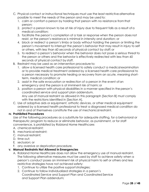- C. Physical contact or instructional techniques must use the least restrictive alternative possible to meet the needs of the person and may be used to:
	- 1. calm or comfort a person by holding that person with no resistance fromthat person;
	- 2. protect a person known to be at risk of injury due to frequent falls as a result ofa medical condition;
	- 3. facilitate the person's completion of a task or response when the person does not resist, or the person's resistance is minimal in intensity and duration; or
	- 4. block or redirect a person's limbs or body without holding the person or limiting the person's movement to interrupt the person's behavior that may result in injury to self or others, with less than 60 seconds of physical contact by staff;or
	- 5. to redirect a person's behavior when the behavior does not pose a serious threat to the person or others and the behavior is effectively redirected with less than 60 seconds of physical contact by staff.
- B. Restraint may be used as an intervention procedure to:
	- 1. allow a licensed health care professional to safely conduct a medicalexamination or to provide medical treatment ordered by a licensed health care professional to a person necessary to promote healing or recovery from an acute, meaning shortterm, medical condition; or
	- 2. assist in the safe evacuation or redirection of a person in the event ofan emergency and the person is at imminent risk of harm; or
	- 3. position a person with physical disabilities in a manner specified in the person's coordinated service and support plan addendum. Any use of manual restraint as allowed in this paragraph [Section B] must comply with the restrictions identified in [Section A].
- C. Use of adaptive aids or equipment, orthotic devices, or other medical equipment ordered by a licensed health professional to treat a diagnosed medical condition do not in and of themselves constitute the use of mechanical restraint.

## **IV. Prohibited Procedures**

Use of the following procedures as a substitute for adequate staffing, for a behavioral or therapeutic program to reduce or eliminate behavior, as punishment, or for staff convenience, is prohibited by Robland Home Healthcare:

- A. chemical restraint;
- B. mechanical restraint;
- C. manual restraint;
- D. time out:
- E. seclusion; or
- F. any aversive or deprivation procedure.

## **V. Manual Restraints Not Allowed in Emergencies**

- A. Robland Home Healthcare does not allow the emergency use of manual restraint. The following alternative measures must be used by staff to achieve safety when a person's conduct poses an imminent risk of physical harm to self or others and less restrictive strategies have not achieved safety:
	- 1. Continue to utilize the positive support strategies;
	- 2. Continue to follow individualized strategies in a person's Coordinated Service and Support Plan and Coordinated Service and Support Plan addendum;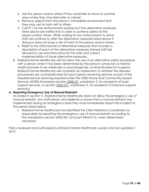- 3. Ask the person and/or others if they would like to move to another area where they may feel safer or calmer;
- 4. Remove objects from the person's immediate environment that they may use to harm self or others
- 5. Call 911 for law enforcement assistance if the alternative measures listed above are ineffective in order to achieve safety for the person and/or others. While waiting for law enforcement to arrive staff will continue to offer the alternative measures listed above if doing so does not pose a risk of harm to the person and/or others.
- 6. Refer to the attached list of alternative measures that includes a description of each of the alternative measures trained staff are allowed to use and instructions for the safe and correct implementation of those alternative measures.
- B. Robland Home Healthcare will not allow the use of an alternative safety procedure with a person when it has been determined by the person's physician or mental health provider to be medically or psychologically contraindicated for a person. Robland Home Healthcare will complete an assessment of whether the allowed procedures are contraindicated for each person receiving services as part of the required service planning required under the 245D Home and Community-based Services (HCBS) Standards (section [245D.07,](https://www.revisor.mn.gov/statutes/?id=245D.07) subdivision 2, for recipients of basic support services; or section [245D.071,](https://www.revisor.mn.gov/statutes/?id=245D.071) subdivision 3, for recipients of intensive support services).

#### **VI. Reporting Emergency Use of Manual Restraint**

As stated in section V, Robland Home Healthcare does not allow the emergency use of manual restraint. Any staff person who believes or knows that a manual restraint was implemented during an emergency basis they must immediately report the incident to the person listed below:

▪ Robland Home Healthcare has identified the Client Relations Coordinator as responsible for reporting the emergency use of manual restrain according to the standardsin section 245D.061 and part 9544.0110, when determined necessary.

Policy reviewed and authorized by Robland Home Healthcare owners and last updated 1- 2019.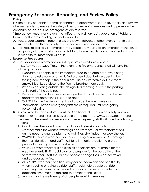# **Emergency Response, Reporting, and Review Policy**

## **I. Policy**

It is the policy of Robland Home Healthcare to effectively respond to, report, and review all emergencies to ensure the safety of persons receiving services and to promote the continuity of services until emergencies are resolved.

"Emergency" means any event that affects the ordinary daily operation of Robland Home Healthcare including, but not limited to:

- A. fires, severe weather, natural disasters, power failures, or other events that threatenthe immediate health and safety of a person receiving services; and
- B. that require calling 911, emergency evacuation, moving to an emergency shelter, or temporary closure or relocation of Robland Home Healthcare to another facility or service site for more than 24 hours.

#### **II. Response Procedures**

- A. Fires. Additional information on safety in fires is available online at: [http://www.ready.gov/fires.](http://www.ready.gov/fires) In the event of a fire emergency, staff will take the following actions:
	- 1. Evacuate all people in the immediate area to an area of safety, closing doors against smoke and heat. Test a closed door before opening by feeling near the top. If the door is hot, use an alternative exit. If a roomis smoke-filled, keep close to the floor to breathe more easily.
	- 2. When evacuating outside, the designated meeting place is the parking lot in front of the building.
	- 3. Remain calm and keep everyone together. Do not reenter until the fire department determines it is safe to do so.
	- 4. Call 911 for the fire department and provide them with relevant information. Provide emergency first aid as required until emergency personnel arrive.
- B. Severe weather and natural disasters. Additional information on safety in severe weather or natural disasters is available online at: [http://www.ready.gov/natural](http://www.ready.gov/natural-disasters)[disasters.](http://www.ready.gov/natural-disasters) In the event of a severe weather emergency, staff will take the following actions:
	- 1. Monitor weather conditions: Listen to local television or radio or a weather-radio for weather warnings and watches. Follow their directions on the need to change plans and activities, stay indoors, or seek shelter.
	- 2. WARNING: severe weather is either occurring or is imminent. A warning is the most significant and staff must take immediate action to protect people by seeking immediate shelter.
	- 3. WATCH: severe weather is possible as conditions are favorable for the weather event. Staff should plan and prepare for the possibility of the severe weather. Staff should help people change their plans for travel and outdoor activities.
	- 4. ADVISORY: weather conditions may cause inconvenience or difficulty when traveling or being outside. Staff should help people consider changing their plans for travel and outdoor activities or consider that additional time may be required to complete their plans.
	- 5. Account for the well-being of all people receiving services.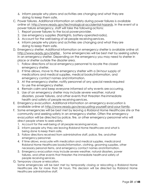- 6. Inform people why plans and activities are changing and what theyare doing to keep them safe.
- C. Power failures. Additional information on safety during power failures is available online at: [http://www.ready.gov/technological-accidental-hazards.](http://www.ready.gov/technological-accidental-hazards) In the event of a power failure emergency, staff will take the following actions:
	- 1. Report power failures to the local power provider.
	- 2. Use emergency supplies (flashlights, battery-operated radio).
	- 3. Account for the well-being of all people receiving services.
	- 4. Inform people why plans and activities are changing and what they are doing to keep them safe.
- D. Emergency shelter. Additional information on emergency shelter is available online at: [http://www.ready.gov/shelter .](http://www.ready.gov/shelter) Some emergencies will be best met by seeking safety in an emergency shelter. Depending on the emergency you may need to shelter in place or shelter outside the disaster area.
	- 1. Follow directions of local emergency personnel to locate the closest emergency shelter.
	- 2. If time allows, move to the emergency shelter with a 24-hour supply of medications and medical supplies, medical books/information, and emergency contact names and information.
	- 3. At the emergency shelter, notify personnel of any special needsrequired to use the emergency shelter.
	- 4. Remain calm and keep everyone informed of why events are occurring.
	- 5. Use of an emergency shelter may include severe weather, natural disasters, power failures, and other events that threaten the immediate health and safety of people receiving services.
- E. Emergency evacuation. Additional information on emergency evacuation is available online at: [http://www.ready.gov/evacuating-yourself-and-your-family.](http://www.ready.gov/evacuating-yourself-and-your-family)
- F. Some emergencies will be best met by leaving a Robland Home Healthcare site or the community and seeking safety in an emergency shelter. Often the emergency evacuation will be directed by police, fire, or other emergency personnel who will direct people where to seek safety.
	- 1. Account for the well-being of all people receiving services.
	- 2. Inform people why they are leaving Robland Home Healthcare and what is being done to keep them safe.
	- 3. Follow directions received from administrative staff, police, fire, andother emergency personnel.
	- 4. If time allows, evacuate with medication and medical supplies, medicaland Robland Home Healthcare books/information, clothing, grooming supplies, other necessary personal items, and emergency contact names andinformation.
	- 5. Emergency evacuation may include severe weather, natural disasters, power failures, and other events that threaten the immediate healthand safety of people receiving services.
- G. Temporary closure or relocation.

Some emergencies will be best met by temporarily closing or relocating a Robland Home Healthcare site for more than 24 hours. This decision will be directed by Robland Home Healthcare administrative staff.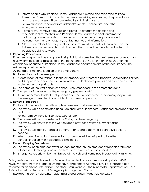- 1. Inform people why Robland Home Healthcare is closing and relocating to keep them safe. Formal notification to the person receiving services, legal representatives, and case managers will be completed by administrative staff.
- 2. Follow directions received from administrative staff, police, fire, andother emergency personnel.
- 3. If time allows, remove from Robland Home Healthcare medication and medicalsupplies, medical and Robland Home Healthcare books/information, clothing, grooming supplies, consumer funds, other necessary program and personal items, and emergency contact names and information.
- 4. Closure or relocation may include severe weather, natural disasters, power failures, and other events that threaten the immediate health and safety of people receiving services.

#### **III. Reporting Procedures**

Emergency reports will be completed using Robland Home Healthcare's emergency report and review form as soon as possible after the occurrence, but no later than 24 hours after the emergency occurred or Robland Home Healthcare became aware of the occurrence. The written report will include:

- A. The date, time, and location of the emergency;
- B. A description of the emergency;
- C. A description of the response to the emergency and whether a person's Coordinated Service and Support Plan addendum or Robland Home Healthcare policies and procedures were implemented as applicable;
- D. The name of the staff person or persons who responded to the emergency; and
- E. The results of the review of the emergency (see section IV).
- F. It is not necessary to identify all persons affected by or involved in the emergency unless the emergency resulted in an incident to a person or persons;

#### **IV. Review Procedures**

Robland Home Healthcare will complete a review of all emergencies.

A. The review will be completed using Robland Home Healthcare's attached emergency report and

review form by the Client Services Coordinator.

- B. The review will be completed within 30 days of the emergency.
- C. The review will ensure that the written report provides a written summary ofthe emergency.
- D. The review will identify trends or patterns, if any, and determine if corrective actionis needed.
- E. When corrective action is needed, a staff person will be assigned to takethe corrective action within a specified time period.

#### **V. Record Keeping Procedures**

- A. The review of an emergency will be documented on the emergency reporting form and will include identifying trends or patterns and corrective action if needed.
- B. Emergency reports will be maintained at the Robland Home Healthcare facility inBlaine.

Policy reviewed and authorized by Robland Home Healthcare owners a last update 1-2019. NOTE: Websites from the Federal Emergency Management Agency (FEMA) are included as a resource for additional information. Another useful website is the Minnesota Department of Public Safety, Homeland Security and Emergency Management Division [\(https://dps.mn.gov/divisions/hsem/planning-preparedness/Pages/default.aspx \)](https://dps.mn.gov/divisions/hsem/planning-preparedness/Pages/default.aspx).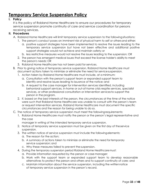# **Temporary Service Suspension Policy**

## **I. Policy**

It is the policy of Robland Home Healthcare to ensure our procedures for temporary service suspension promote continuity of care and service coordination for persons receiving services.

## **II. Procedures**

- A. Robland Home Healthcare will limit temporary service suspension to the followingsituations:
	- 1. The person's conduct poses an imminent risk of physical harm to self or othersand either:
		- a. positive support strategies have been implemented to resolve the issues leading to the temporary service suspension but have not been effective and additional positive support strategies would not achieve and maintain safety;or
		- b. less restrictive measures would not resolve the issues leading to the suspension; OR
	- 2. The person has emergent medical issues that exceed the license holder's abilityto meet the person's needs; OR
	- 3. Robland Home Healthcare has not been paid for services.
- B. Prior to giving notice of temporary service suspension, Robland Home Healthcare must document actions taken to minimize or eliminate the need for servicesuspension.
	- 1. Action taken by Robland Home Healthcare must include, at a minimum:
		- a. Consultation with the person's support team or expanded support team to identify and resolve issues leading to issuance of the notice; and
		- b. A request to the case manager for intervention services identified, including behavioral support services, in-home or out-of-home crisis respite services, specialist services, or other professional consultation or intervention servicesto support the person in the program.
	- 2. If, based on the best interests of the person, the circumstances at the time of the notice were such that Robland Home Healthcare was unable to consult with the person's team or request intervention services, Robland Home Healthcare must document the specific circumstances and the reason for being unable to do so.
- C. The notice of temporary service suspension must meet the followingrequirements:
	- 1. Robland Home Healthcare must notify the person or the person's legal representative and the case

manager in writing of the intended temporary service suspension.

- 2. Notice of temporary service suspension must be given on the first day of theservice suspension.
- 3. The written notice of service suspension must include the followingelements:
	- a. The reason for the action;
	- b. A summary of actions taken to minimize or eliminate the need fortemporary service suspension; and
	- c. Why these measures failed to prevent the suspension.
- 4. During the temporary suspension period Robland Home Healthcaremust:
	- a. Provide information requested by the person or case manager;
	- b. Work with the support team or expanded support team to develop reasonable alternatives to protect the person and others and to support continuity of care; and
	- c. Maintain information about the service suspension, including the writtennotice of temporary service suspension in the person's record.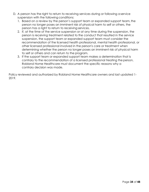- D. A person has the right to return to receiving services during or following aservice suspension with the following conditions:
	- 1. Based on a review by the person's support team or expanded support team, the person no longer poses an imminent risk of physical harm to self or others, the person has a right to return to receiving services.
	- 2. If, at the time of the service suspension or at any time during the suspension, the person is receiving treatment related to the conduct that resulted in the service suspension, the support team or expanded support team must consider the recommendation of the licensed health professional, mental health professional, or other licensed professional involved in the person's care or treatment when determining whether the person no longer poses an imminent risk of physical harm to self or others and can return to the program.
	- 3. If the support team or expanded support team makes a determination that is contrary to the recommendation of a licensed professional treating the person, Robland Home Healthcare must document the specific reasons why a contrary decision was made.

Policy reviewed and authorized by Robland Home Healthcare owners and last updated 1- 2019.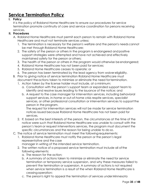# **Service Termination Policy**

## **I. Policy**

It is the policy of Robland Home Healthcare to ensure our procedures for service termination promote continuity of care and service coordination for persons receiving services.

## **II. Procedures**

- A. Robland Home Healthcare must permit each person to remain with Robland Home Healthcare and must not terminate services unless:
	- 1. The termination is necessary for the person's welfare and the person's needs cannot be met through Robland Home Healthcare;
	- 2. The safety of the person or others in the program is endangered and positive support strategies were attempted and have not achieved and effectively maintained safety for the person or others;
	- 3. The health of the person or others in the program would otherwise beendangered;
	- 4. Robland Home Healthcare has not been paid for services;
	- 5. Robland Home Healthcare ceases to operate; or
	- 6. The person has been terminated by the lead agency from waivereligibility.
- B. Prior to giving notice of service termination Robland Home Healthcare must document the actions taken to minimize or eliminate the need for termination.
	- 1. Action taken by the license holder must include, at a minimum:
		- a. Consultation with the person's support team or expanded support team to identify and resolve issues leading to the issuance of the notice; and
		- b. A request to the case manager for intervention services, including behavioral support services, in-home or out-of-home crisis respite services, specialist services, or other professional consultation or intervention services to support the person in the program.

The request for intervention services will not be made for service termination notices issued because Robland Home Healthcare has not been paid for services.

- 2. If, based on the best interests of the person, the circumstances at the time of the notice were such that Robland Home Healthcare was unable to consult with the person's team or request interventions services, the program must document the specific circumstances and the reason for being unable to do so.
- C. The notice of service termination must meet the followingrequirements:
	- 1. Robland Home Healthcare must notify the person or the person's legal representative and the case manager in writing of the intended service termination.
	- 2. The written notice of a proposed service termination must include all ofthe following elements:
		- a. The reason for the action;
		- b. A summary of actions taken to minimize or eliminate the need for service termination or temporary service suspension, and why these measures failed to prevent the termination or suspension. A summary of actions is not required when service termination is a result of the when Robland Home Healthcare is ceasingoperation;
		- c. The person's right to appeal the termination of services underMinnesota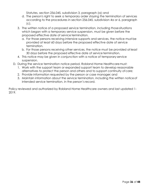Statutes, section 256.045, subdivision 3, paragraph (a); and

- d. The person's right to seek a temporary order staying the termination of services according to the procedures in section 256.045, subdivision 4a or 6, paragraph (c).
- 3. The written notice of a proposed service termination, including thosesituations which began with a temporary service suspension, must be given before the proposed effective date of service termination.
	- a. For those persons receiving intensive supports and services, the notice mustbe provided at least 60 days before the proposed effective date of service termination.
	- b. For those persons receiving other services, the notice must be provided at least 30 days before the proposed effective date of service termination.
- 4. This notice may be given in conjunction with a notice of temporary service suspension.
- D. During the service termination notice period, Robland Home Healthcaremust:
	- 1. Work with the support team or expanded support team to develop reasonable alternatives to protect the person and others and to support continuity ofcare;
	- 2. Provide information requested by the person or case manager; and
	- 3. Maintain information about the service termination, including the written noticeof intended service termination, in the person's record.

Policy reviewed and authorized by Robland Home Healthcare owners and last updated 1- 2019.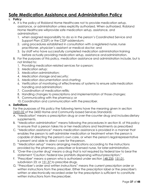# **Safe Medication Assistance and Administration Policy**

## **I. Policy**

- A. It is the policy of Robland Home Healthcare not to provide medication setup, assistance, or administration unless explicitly authorized. When authorized, Robland Home Healthcare willprovide safe medication setup, assistance, and administration:
	- 1. when assigned responsibility to do so in the person's Coordinated Service and Support Plan (CSSP) or the CSSP addendum;
	- 2. using procedures established in consultation with a registered nurse, nurse practitioner, physician's assistant or medical doctor; and
	- 3. by staff who have successfully completed medication administration training before actually providing medication setup, assistance andadministration.
- B. For the purposes of this policy, medication assistance and administration include, but is not limited to:
	- 1. Providing medication-related services for a person;
	- 2. Medication setup;
	- 3. Medication administration;
	- 4. Medication storage and security;
	- 5. Medication documentation and charting;
	- 6. Verification of monitoring of effectiveness of systems to ensure safemedication handling and administration;
	- 7. Coordination of medication refills;
	- 8. Handling changes to prescriptions and implementation of those changes;
	- 9. Communicating with the pharmacy; or
	- 10. Coordination and communication with the prescriber.

# **II. Definitions**

For the purposes of this policy the following terms have the meaning given in section [245D.02 o](https://www.revisor.mn.gov/statutes/?id=245D.02)f the 245D Home and Community-based Services Standards:

- A. "Medication" means a prescription drug or over-the-counter drug and includes dietary supplements.
- B. "Medication administration" means following the procedures in section III. of this policy to ensure that a person takes his or her medications and treatments as prescribed
- C. "Medication assistance" means medication assistance is provided in a manner that enables the person to self-administer medication or treatment when the person is capable of directing the person's own care, or when the person's legal representative is present and able to direct care for the person.
- D. "Medication setup" means arranging medications according to the instructions provided by the pharmacy, prescriber or licensed nurse, for lateradministration.
- E. "Over-the-counter drug" means a drug that is not required by federal law to bear the statement "Caution: Federal law prohibits dispensing without prescription."
- F. "Prescriber" means a person who is authorized under section [148.235;](https://www.revisor.mn.gov/statutes/?id=148.235) [151.01,](https://www.revisor.mn.gov/statutes/?id=151.01) subdivision 23; or [151.37 t](https://www.revisor.mn.gov/statutes/?id=151.37)o prescribe drugs.
- G. "Prescriber's order and written instructions" means the current prescription order or written instructions from the prescriber. Either the prescription label or the prescriber's written or electronically recorded order for the prescription is sufficient to constitute written instructions from the prescriber.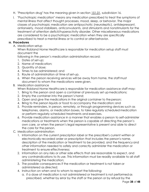- H. "Prescription drug" has the meaning given in section [151.01,](https://www.revisor.mn.gov/statutes/?id=151.01) subdivision 16.
- I. "Psychotropic medication" means any medication prescribed to treat the symptoms of mental illness that affect thought processes, mood, sleep, or behavior. The major classes of psychotropic medication are antipsychotic (neuroleptic), antidepressant, antianxiety, mood stabilizers, anticonvulsants, and stimulants and nonstimulants for the treatment of attention deficit/hyperactivity disorder. Other miscellaneous medications are considered to be a psychotropic medication when they are specifically prescribed to treat a mental illness or to control or alterbehavior.

#### **III. Procedures**

A. Medication setup

When Robland Home Healthcare is responsible for medication setup staff must document the

following in the person's medication administration record:

- 1. Dates of set-up;
- 2. Name of medication;
- 3. Quantity of dose;
- 4. Times to be administered; and
- 5. Route of administration at time of set-up.
- 6. When the person receiving services will be away from home, the staff must document to whom the medications were given.

## B. Medication assistance

When Robland Home Healthcare is responsible for medication assistance staff may:

- 1. Bring to the person and open a container of previously set upmedications;
- 2. Empty the container into the person's hand;
- 3. Open and give the medications in the original container to the person;
- 4. Bring to the person liquids or food to accompany the medication; and
- 5. Provide reminders, in person, remotely, or through programming devices such as telephones, alarms, or medication boxes, to take regularly scheduled medication or perform regularly scheduled treatments and exercises.
- 6. Provide medication assistance in a manner that enables a person to self-administer medications or treatments when the person is capable of directing the person's own care, or when the person's legal representative is present and able to direct the care for the person.
- C. Medication administration
	- 1. Information on the current prescription label or the prescriber's current written or electronically recorded order or prescription that includes the person's name, description of the medication or treatment to be provided, and the frequency and other information needed to safely and correctly administer the medication or treatment to ensure effectiveness;
	- 2. Information on any risks or other side effects that are reasonable to expect, and any contraindications to its use. This information must be readily available to all staff administering the medication;
	- 3. The possible consequences if the medication or treatment is not taken or administered as directed;
	- 4. Instruction on when and to whom to report the following:
		- a. if a dose of medication is not administered or treatment is not performedas prescribed, whether by error by the staff or the person or by refusal by the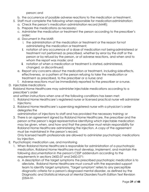person; and

- b. the occurrence of possible adverse reactions to the medication or treatment.
- 5. Staff must complete the following when responsible for medication administration:
	- a. Check the person's medication administration record (MAR);
	- b. Prepare the medications as necessary;
	- c. Administer the medication or treatment the person according to the prescriber's order;
	- d. Document in the MAR:
		- i. the administration of the medication or treatment or the reason for not administering the medication or treatment;
		- ii. notation of any occurrence of a dose of medication not beingadministered or treatment not performed as prescribed, whether by error by the staff or the person or by refusal by the person, or of adverse reactions, and when and to whom the report was made; and
		- iii. notation of when a medication or treatment is started, administered, changed, or discontinued;
	- e. Report any concerns about the medication or treatment, including sideeffects, effectiveness, or a pattern of the person refusing to take the medication or treatment as prescribed, to the prescriber or a nurse; and
	- f. Adverse reactions must be immediately reported to the prescriber or a nurse.

# D. Injectable medications

Robland Home Healthcare may administer injectable medications according to a prescriber's order

and written instructions when one of the following conditions has been met:

- 1. Robland Home Healthcare's registered nurse or licensed practical nurse will administer injections;
- 2. Robland Home Healthcare's supervising registered nurse with a physician's order delegates the

administration of injections to staff and has provided the necessary training; or

3. There is an agreement signed by Robland Home Healthcare, the prescriber and the person orthe person's legal representative identifying which injectable medication may be given, when, and how and that the prescriber must retain responsibility for Robland Home Healthcare administering the injection. A copy of the agreement must be maintained in the person's record.

Only licensed health professionals are allowed to administer psychotropic medications by injection.

- E. Psychotropic medication use, and monitoring
	- 1. When Robland Home Healthcare is responsible for administration of a psychotropic medication, Robland Home Healthcare must develop, implement, and maintain the following documentation in the person's CSSP addendum according to the requirements in sections 245D.07 and 245D.071:
		- a. A description of the target symptoms the prescribed psychotropic medication is to alleviate. Robland Home Healthcare must consult with the expanded support team to identify target symptoms. "Target symptom" refers to any perceptible diagnostic criteria for a person's diagnosed mental disorder, as defined by the Diagnostic and Statistical Manual of Mental Disorders Fourth Edition Text Revision (DSM-IV-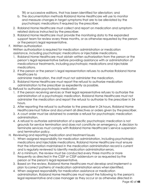TR) or successive editions, that has been identified for alleviation; and

- b. The documentation methods Robland Home Healthcare will use to monitor and measure changes in target symptoms that are to be alleviated by the psychotropic medications if required by the prescriber.
- 2. Robland Home Healthcare must collect and report on medication and symptomrelated dataas instructed by the prescriber.
- 3. Robland Home Healthcare must provide the monitoring data to the expanded support team for review every three months, or as otherwise requested by the person or the person's legal representative.
- F. Written authorization

Written authorization is required for medication administration or medication assistance, including psychotropic medications or injectable medications.

- 1. Robland Home Healthcare must obtain written authorization from the person or the person's legal representative before providing assistance with or administration of medicationsor treatments, including psychotropic medications and injectable medications.
- 2. If the person or the person's legal representation refuses to authorize Robland Home Healthcare to

administer medication, the staff must not administer the medication.

- 3. Robland Home Healthcare must report the refusal to authorize medication administration tothe prescriber as expediently as possible.
- G. Refusal to authorize psychotropic medication
	- 1. If the person receiving services or their legal representative refuses to authorize the administration of a psychotropic medication, Robland Home Healthcare must not administer the medication and report the refusal to authorize to the prescriber in 24 hours.
	- 2. After reporting the refusal to authorize to the prescriber in 24 hours, Robland Home Healthcaremust follow and document all directives or orders given by the prescriber.
	- 3. A court order must be obtained to override a refusal for psychotropic medication administration.
	- 4. A refusal to authorize administration of a specific psychotropic medication is not grounds for service termination and does not constitute an emergency. A decision to terminate services must comply with Robland Home Healthcare's service suspension and termination policy.
- H. Reviewing and reporting medication and treatment issues
	- 1. When assigned responsibility for medication administration, including psychotropic medications and injectable medications, Robland Home Healthcare must ensure that the information maintained in the medication administration record is current and is regularly reviewed to identify medication administration errors.
	- 2. At a minimum, the review must be conducted every three months or more frequently as directed in the CSSP or CSSP addendum or as requested by the person or the person's legal representative.
	- 3. Based on the review, Robland Home Healthcare must develop and implement a plan tocorrect patterns of medication administration errors when identified.
	- 4. When assigned responsibility for medication assistance or medication administration, Robland Home Healthcare must report the following to the person's legal representative and case manager as they occur or as otherwise directed in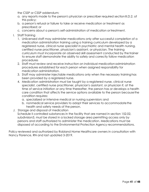the CSSP or CSSP addendum:

- a. any reports made to the person's physician or prescriber required sectionIII.D.2. of this policy;
- b. a person's refusal or failure to take or receive medication or treatment as prescribed; or
- c. concerns about a person's self-administration of medication or treatment.
- I. Staff Training
	- 1. Unlicensed staff may administer medications only after successful completion of a medication administration training using a training curriculum developed by a registered nurse, clinical nurse specialist in psychiatric and mental health nursing, certified nurse practitioner, physician's assistant, or physician. The training curriculum must incorporate an observed skill assessment conducted by the trainer to ensure staff demonstrate the ability to safely and correctly follow medication procedures
	- 2. Staff must review and receive instruction on individual medication administration procedures established for each person when assigned responsibility for medication administration.
	- 3. Staff may administer injectable medications only when the necessary traininghas been provided by a registered nurse.
	- 4. Medication administration must be taught by a registered nurse, clinical nurse specialist, certified nurse practitioner, physician's assistant, or physician if, at the time of service initiation or any time thereafter, the person has or develops a health care condition that affects the service options available to the person becausethe condition requires:
		- a. specialized or intensive medical or nursing supervision; and
		- b. nonmedical service providers to adapt their services to accommodatethe health and safety needs of the person.
- J. Storage and disposal of medication

Schedule II controlled substances in the facility that are named in section 152.02, subdivision3, must be stored in a locked storage area permitting access only by persons and staff authorized to administer the medication. Medications must be disposed of according to the Environmental Protection Agency recommendations.

Policy reviewed and authorized by Robland Home Healthcare owners in consultation with Nancy Florence, RN and last updated 3-2019.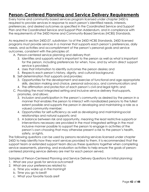# **Person-Centered Planning and Service Delivery Requirements**

Every home and community-based services program licensed under chapter 245D is required to provide services in response to each person's identified needs, interests, preferences, and desired outcomes as specified in the Coordinated Service and Support Plan and the Coordinated Service and Support Plan Addendum, and in compliance with the requirements of the 245D Home and Community-Based Services (HCBS) Standards.

As required in section 245D.07, subdivision 1a of the 245D HCBS Standards, 245D licensed programs must provide services in a manner that supports each person's preferences, daily needs, and activities and accomplishment of the person's personal goals and service outcomes, consistent with the principles of:

A. Person-centered service planning and delivery that:

- 3. Identifies and supports what is important to the person as well as what is important for the person, including preferences for when, how, and by whom direct support service is provided;
- 4. Uses that information to identify outcomes the person desires; and
- 5. Respects each person's history, dignity, and cultural background.
- B. Self-determination that supports and provides:
	- 3. Opportunities for the development and exercise of functional and age-appropriate skills, decision making and choice, personal advocacy, and communication; and
	- 4. The affirmation and protection of each person's civil and legal rights; and
- C. Providing the most integrated setting and inclusive service delivery thatsupports, promotes, and allows:
	- 3. Inclusion and participation in the person's community as desired by the person in a manner that enables the person to interact with nondisabled persons to the fullest extent possible and supports the person in developing and maintaining a role as a valued community member;
	- 4. Opportunities for self-sufficiency as well as developing and maintainingsocial relationships and natural supports; and
	- 5. A balance between risk and opportunity, meaning the least restrictive supportsor interventions necessary are provided in the most integrated settings in the most inclusive manner possible to support the person to engage in activities of the person's own choosing that may otherwise present a risk to the person's health, safety, or rights.

The following questions can be used by persons receiving services licensed under chapter 245D to help identify how they want services provided to them. It is recommended that the support team or extended support team discuss these questions together when completing service assessments, planning, and evaluation activities to help ensure the goals of personcentered planning service delivery are met for each person served.

Samples of Person-Centered Planning and Service Delivery Questions for initial planning:

- 1. What are your goals for service outcomes?
- 2. What are your preferences related to:
	- a. Time you wake up in the morning?
	- b. Time you go to bed?
	- c. What your favorite foods are?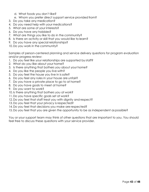- d. What foods you don't like?
- e. Whom you prefer direct support service provided from?
- 3. Do you take any medication?
- 4. Do you need help with your medications?
- 5. What are some of your interests?
- 6. Do you have any hobbies?
- 7. What are things you like to do in the community?
- 8. Is there an activity or skill that you would like to learn?
- 9. Do you have any special relationships?
- 10. Do you work in the community?

Samples of person-centered planning and service delivery questions for program evaluation and/or progress review:

- 1. Do you feel like your relationships are supported by staff?
- 2. What do you like about your home?
- 3. Is there anything that bothers you about your home?
- 4. Do you like the people you live with?
- 5. Do you feel the house you live in is safe?
- 6. Do you feel any rules in your house are unfair?
- 7. Do you have a private place to go to at home?
- 8. Do you have goals to meet at home?
- 9. Do you want to work?
- 10. Is there anything that bothers you at work?
- 11. Do you have specific goals set at work?
- 12. Do you feel that staff treat you with dignity and respect?
- 13. Do you feel that your privacy is respected?
- 14. Do you feel that decisions you make are respected?
- 15. Do you feel that you are given the opportunity to be as independent aspossible?

You or your support team may think of other questions that are important to you. You should feel free to discuss these questions with your service provider.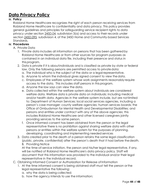# **Data Privacy Policy**

## **III. Policy**

Robland Home Healthcare recognizes the right of each person receiving services from Robland Home Healthcare to confidentiality and data privacy. This policy provides general guidelines and principles for safeguarding service recipient rights to data privacy under section [245D.04,](https://www.revisor.mn.gov/statutes/?id=245D.04) subdivision 3(a) and access to their records under section [245D.095,](https://www.revisor.mn.gov/statutes/?id=245D.095) subdivision 4, of the 245D Home and Community-based Services Standards.

#### **IV. Procedures**

- A. Private Data
	- 1. Private data includes all information on persons that has been gathered by Robland Home Healthcare or from other sources for program purposes as contained in an individual data file, including their presence and status in this program.
	- 2. Data is private if it is aboutindividuals and is classified as private by state or federal law. Only the following persons are permitted access to private data:
		- a. The individual who is the subject of the data or a legal representative.
		- b. Anyone to whom the individual gives signed consent to view thedata.
		- c. Employees of the welfare system whose work assignments reasonably require access to the data. This includes staff persons in this program.
		- d. Anyone the law says can view the data.
		- e. Data collected within the welfare system about individuals are considered welfare data. Welfare data is private data on individuals; including medical and/or health data. Agencies in the welfare system include, but are notlimited to: Department of Human Services; local social services agencies, including a person's case manager; county welfare agencies; human services boards; the Office of Ombudsman for Mental Health and Developmental Disabilities; and persons and entities under contract with any of the above agencies; this includes Robland Home Healthcare and other licensed caregivers jointly providing services to the same person.
		- f. Once informed consent has been obtained from the person or the legal representative there is no prohibition against sharing welfare data with other persons or entities within the welfare system for the purposes of planning, developing, coordinating and implementing needed services
	- 3. Data created prior to the death of a person retains the same legal classification (public, private, confidential) after the person's death that it had before thedeath. B. Providing Notice

At the time-of-service initiation, the person and his/her legal representative, if any, will be notified of Robland Home Healthcare's data privacy policy. Staff will document that this information was provided to the individual and/or their legal representative in the individual record.

- C. Obtaining Informed Consent or Authorization for Release of Information
	- 1. At the time informed consent is being obtained staff must tell the person orthe legal representative the following:
		- a. why the data is being collected;
		- b. how the agency intends to use the information;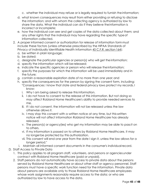c. whether the individual may refuse or is legally required to furnish the information;

- d. what known consequences may result from either providing or refusing to disclose the information; and with whom the collecting agency is authorized by law to share the data. What the individual can do if they believe theinformation is incorrect or incomplete;
- e. how the individual can see and get copies of the data collected about them; and any other rights that the individual may have regarding the specific typeof information collected.
- 2. A proper informed consent or authorization for release of information form must include these factors (unless otherwise prescribed by the HIPAA Standards of Privacy of Individually Identifiable Health Information [45 C.F.R. section](http://www.access.gpo.gov/nara/cfr/waisidx_01/45cfr164_01.html) 164):
	- a. be written in plain language;
	- b. be dated;
	- c. designate the particular agencies or person(s) who will get theinformation;
	- d. specify the information which will be released;
	- e. indicate the specific agencies or person who will release theinformation;
	- f. specify the purposes for which the information will be used immediately and in the future;
	- g. contain a reasonable expiration date of no more than one year; and
	- h. specify the consequences for the person by signing the consent form, including: "Consequences: I know that state and federal privacy laws protect my records. I know:
		- i. Why I am being asked to release thisinformation.
		- ii. I do not have to consent to the release of this information. But not doing so may affect Robland Home Healthcare's ability to provide needed services to me.
		- iii. If I do not consent, the information will not be released unless the law otherwise allows it.
		- iv. I may stop this consent with a written notice at any time, but this written notice will not affect information Robland Home Healthcare has already released.
		- v. The person(s) or agency(ies) who get my information may be able to passit on to others.
		- vi. If my information is passed on to others by Robland Home Healthcare, it may no longerbe protected by this authorization.
		- vii. This consent will end one year from the date I sign it, unless the law allows for a longer period."
	- i. Maintain all informed consent documents in the consumer's individual record.
- D. Staff Access to Private Data
	- 1. This policy applies to all program staff, volunteers, and persons or agenciesunder contract with Robland Home Healthcare (paid or unpaid).
	- 2. Staff persons do not automatically have access to private data about the persons served by Robland Home Healthcare or about other staff or agency personnel. Staff persons must have a specific work function need for the information. Private data about persons are available only to those Robland Home Healthcare employees whose work assignments reasonably require access to the data; or who are authorized by law to have access to the data.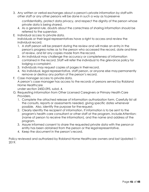3. Any written or verbal exchanges about a person's private information by staff with other staff or any other persons will be done in such a way as topreserve

confidentiality, protect data privacy, and respect the dignity of the person whose private data is being shared.

- 4. As a general rule, doubts about the correctness of sharing information should be referred to the supervisor.
- E. Individual access to private data.

Individuals or their legal representatives have a right to access and review the individual record.

- 1. A staff person will be present during the review and will make an entry in the person's progress notes as to the person who accessed the record, date andtime of review, and list any copies made from the record.
- 2. An individual may challenge the accuracy or completeness of information contained in the record. Staff will refer the individual to the grievance policy for lodging a complaint.
- 3. Individuals may request copies of pages in their record.
- 4. No individual, legal representative, staff person, or anyone else may permanently remove or destroy any portion of the person's record.
- F. Case manager access to private data.

A person's case manager has access to the records of persons served by Robland Home Healthcare

under section 245D.095, subd. 4.

- G. Requesting Information from Other Licensed Caregivers or Primary Health Care Providers.
	- 1. Complete the attached release of information authorization form. Carefully list all the consults, reports or assessments needed, giving specific dates whenever possible. Also, identify the purpose for the request.
	- 2. Clearly identify the recipient of information. If information is to be sent to the program's health care consultant or other staff at the program, include Attention: (name of person to receive the information), and the name and address of the program.
	- 3. Assure informed consent to share the requested private data with the personor entity has been obtained from the person or the legal representative.
	- 4. Keep the document in the person's record.

Policy reviewed and authorized by Robland Home Healthcare owners and last Updated 1- 2019.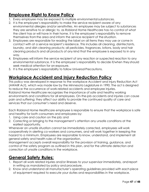# **Employee Right to Know Policy**

- 1. Every employee may be exposed to multiple environmental substances.
- 2. It is the employee's responsibility to make the service recipient aware of any environmental allergies and/or sensitivities. An employee may be subject to substances they are sensitive to or allergic to, as Robland Home Healthcare has no control of what the client has or will have in their home. It is the employee's responsibility to remove themselves fromthe area and inform the service recipient of the situation.
- 3. Employees are responsible for reading the label on all items they may use or come in contact with at a service recipient's residence. This includes all cleaning, disinfectants, laundry, and dish cleaning products; all pesticides, fragrances, lotions, body and hair cleaning products and all products of any kind that the employee is exposed to in any way.
- 4. Employees will inform the service recipient of any reaction or suspected reaction to any environmental substance. It is the employee's responsibility to decide if/when they should seek medical attention for an exposure.
- 5. It is the employee's responsibility to follow Universal Precautions.

# **Workplace Accident and Injury Reduction Policy**

This policy was developed in response to the workplace Accident and Injury Reduction Act (AWAIR Act), which was made law by the Minnesota Legislature in 1990. The act is designed to reduce the occurrence of work-related accidents and employee injuries. Robland Home Healthcare recognizes the importance of safe and healthy working environments and conditions for all employees. On-the-job accidents and injuries can cause pain and suffering; they affect our ability to provide the continued quality of care and services that our consumer's need and deserve.

Each Robland Home Healthcare employee is responsible to ensure that the workplace is safe and healthy for both consumers and employees by:

- 1. Using care and caution on the job; and
- 2. Correcting or bringing to the management's attention any unsafe conditions at the earliest opportunity.

Whenever an unsafe situation cannot be immediately corrected, employees will work cooperatively in alerting co-workers and consumers, and will work together in keeping the hazard to a minimum. Employees are responsible to know, understand, and implement all general safety and health rules of the organization.

Management accepts overall responsibility for the provision of training, guidance, and control of the safety program as outlined in this plan, and for the ultimate detection and correction of unsafe conditions in the workplace.

# **General Safety Rules:**

- 1. Report all work related injuries and/or illnesses to your supervisor immediately, andreport in writing as mandated by policy and procedure.
- 2. Know and understand all manufacturer's operating guidelines provided with each piece of equipment required to execute your duties and responsibilities in the workplace.